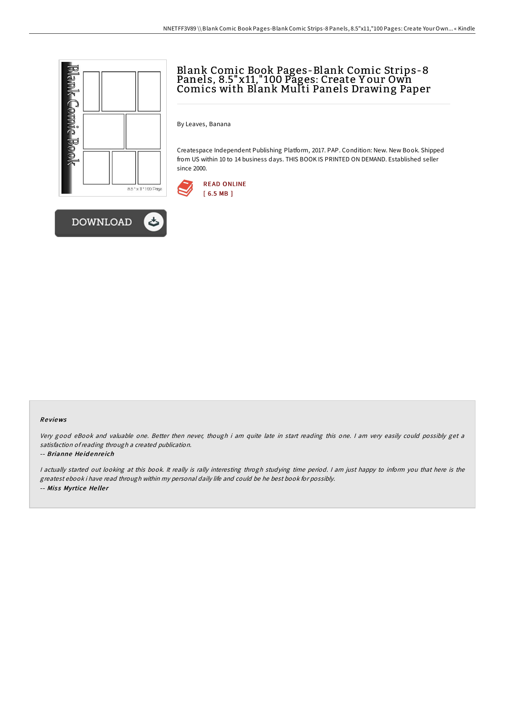



# Blank Comic Book Pages-Blank Comic Strips-8 Panels, 8.5"x11," 100 Pages: Create Y our Own Comics with Blank Multi Panels Drawing Paper

By Leaves, Banana

Createspace Independent Publishing Platform, 2017. PAP. Condition: New. New Book. Shipped from US within 10 to 14 business days. THIS BOOK IS PRINTED ON DEMAND. Established seller since 2000.



### Re views

Very good eBook and valuable one. Better then never, though i am quite late in start reading this one. I am very easily could possibly get <sup>a</sup> satisfaction ofreading through <sup>a</sup> created publication.

#### -- Brianne He id enre ich

<sup>I</sup> actually started out looking at this book. It really is rally interesting throgh studying time period. <sup>I</sup> am just happy to inform you that here is the greatest ebook i have read through within my personal daily life and could be he best book for possibly. -- Miss Myrtice Heller